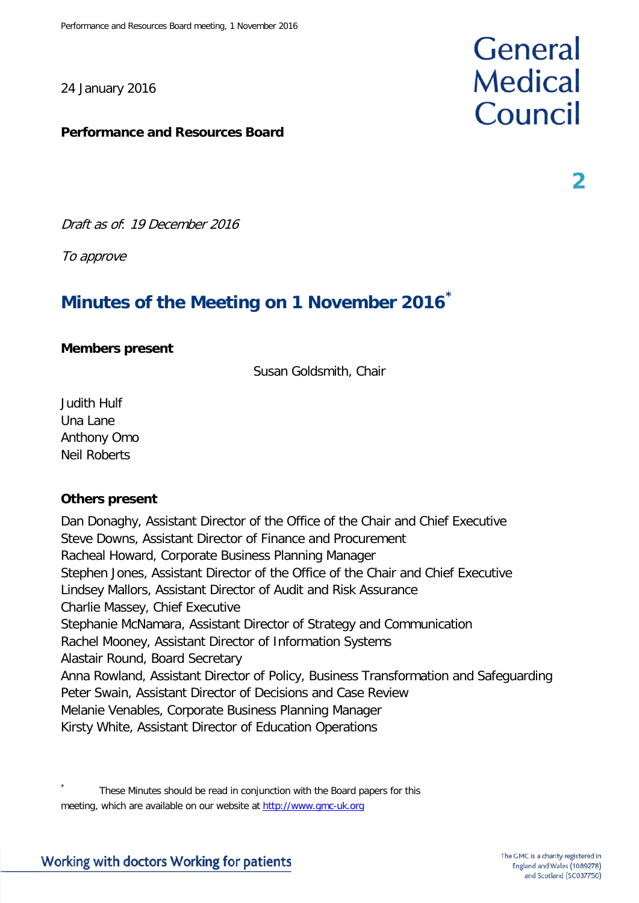24 January 2016

#### **Performance and Resources Board**

Draft as of: 19 December 2016

To approve

# **Minutes of the Meeting on 1 November 2016[\\*](#page-0-0)**

#### **Members present**

Susan Goldsmith, Chair

Judith Hulf Una Lane Anthony Omo Neil Roberts

#### **Others present**

Dan Donaghy, Assistant Director of the Office of the Chair and Chief Executive Steve Downs, Assistant Director of Finance and Procurement Racheal Howard, Corporate Business Planning Manager Stephen Jones, Assistant Director of the Office of the Chair and Chief Executive Lindsey Mallors, Assistant Director of Audit and Risk Assurance Charlie Massey, Chief Executive Stephanie McNamara, Assistant Director of Strategy and Communication Rachel Mooney, Assistant Director of Information Systems Alastair Round, Board Secretary Anna Rowland, Assistant Director of Policy, Business Transformation and Safeguarding Peter Swain, Assistant Director of Decisions and Case Review Melanie Venables, Corporate Business Planning Manager Kirsty White, Assistant Director of Education Operations

<span id="page-0-0"></span>These Minutes should be read in conjunction with the Board papers for this meeting, which are available on our website at [http://www.gmc-uk.org](http://www.gmc-uk.org/)

# **General Medical** Council

**2**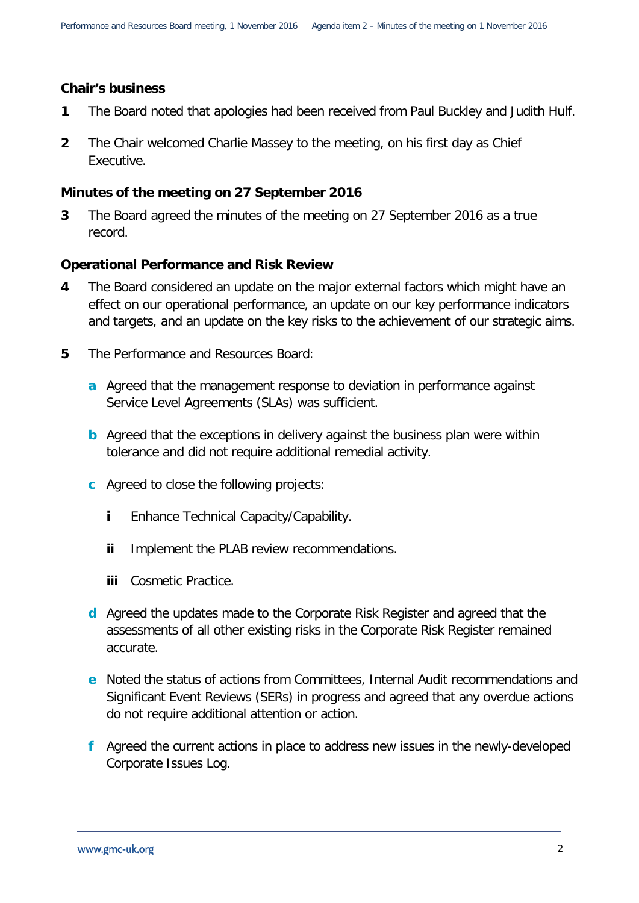#### **Chair's business**

- **1** The Board noted that apologies had been received from Paul Buckley and Judith Hulf.
- **2** The Chair welcomed Charlie Massey to the meeting, on his first day as Chief Executive.

#### **Minutes of the meeting on 27 September 2016**

**3** The Board agreed the minutes of the meeting on 27 September 2016 as a true record.

#### **Operational Performance and Risk Review**

- **4** The Board considered an update on the major external factors which might have an effect on our operational performance, an update on our key performance indicators and targets, and an update on the key risks to the achievement of our strategic aims.
- **5** The Performance and Resources Board:
	- **a** Agreed that the management response to deviation in performance against Service Level Agreements (SLAs) was sufficient.
	- **b** Agreed that the exceptions in delivery against the business plan were within tolerance and did not require additional remedial activity.
	- **c** Agreed to close the following projects:
		- **i** Enhance Technical Capacity/Capability.
		- **ii** Implement the PLAB review recommendations.
		- **iii** Cosmetic Practice.
	- **d** Agreed the updates made to the Corporate Risk Register and agreed that the assessments of all other existing risks in the Corporate Risk Register remained accurate.
	- **e** Noted the status of actions from Committees, Internal Audit recommendations and Significant Event Reviews (SERs) in progress and agreed that any overdue actions do not require additional attention or action.
	- **f** Agreed the current actions in place to address new issues in the newly-developed Corporate Issues Log.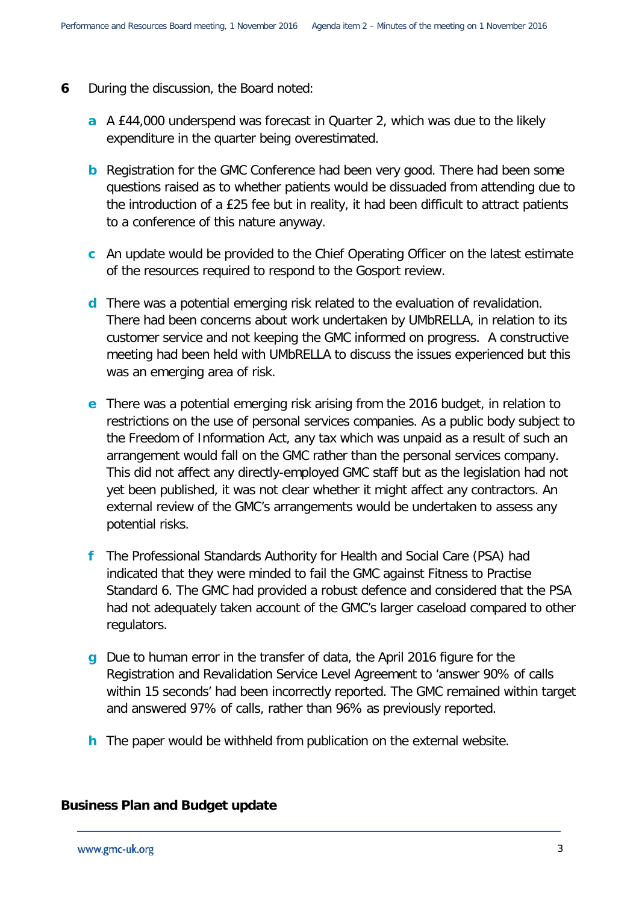- **6** During the discussion, the Board noted:
	- **a** A £44,000 underspend was forecast in Quarter 2, which was due to the likely expenditure in the quarter being overestimated.
	- **b** Registration for the GMC Conference had been very good. There had been some questions raised as to whether patients would be dissuaded from attending due to the introduction of a £25 fee but in reality, it had been difficult to attract patients to a conference of this nature anyway.
	- **c** An update would be provided to the Chief Operating Officer on the latest estimate of the resources required to respond to the Gosport review.
	- **d** There was a potential emerging risk related to the evaluation of revalidation. There had been concerns about work undertaken by UMbRELLA, in relation to its customer service and not keeping the GMC informed on progress. A constructive meeting had been held with UMbRELLA to discuss the issues experienced but this was an emerging area of risk.
	- **e** There was a potential emerging risk arising from the 2016 budget, in relation to restrictions on the use of personal services companies. As a public body subject to the Freedom of Information Act, any tax which was unpaid as a result of such an arrangement would fall on the GMC rather than the personal services company. This did not affect any directly-employed GMC staff but as the legislation had not yet been published, it was not clear whether it might affect any contractors. An external review of the GMC's arrangements would be undertaken to assess any potential risks.
	- **f** The Professional Standards Authority for Health and Social Care (PSA) had indicated that they were minded to fail the GMC against Fitness to Practise Standard 6. The GMC had provided a robust defence and considered that the PSA had not adequately taken account of the GMC's larger caseload compared to other regulators.
	- **g** Due to human error in the transfer of data, the April 2016 figure for the Registration and Revalidation Service Level Agreement to 'answer 90% of calls within 15 seconds' had been incorrectly reported. The GMC remained within target and answered 97% of calls, rather than 96% as previously reported.
	- **h** The paper would be withheld from publication on the external website.

#### **Business Plan and Budget update**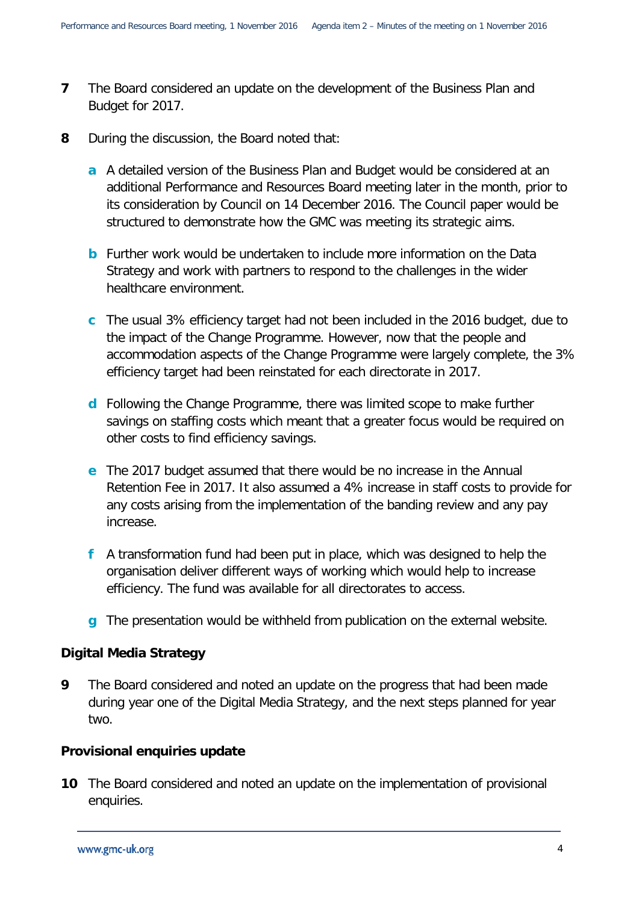- **7** The Board considered an update on the development of the Business Plan and Budget for 2017.
- **8** During the discussion, the Board noted that:
	- **a** A detailed version of the Business Plan and Budget would be considered at an additional Performance and Resources Board meeting later in the month, prior to its consideration by Council on 14 December 2016. The Council paper would be structured to demonstrate how the GMC was meeting its strategic aims.
	- **b** Further work would be undertaken to include more information on the Data Strategy and work with partners to respond to the challenges in the wider healthcare environment.
	- **c** The usual 3% efficiency target had not been included in the 2016 budget, due to the impact of the Change Programme. However, now that the people and accommodation aspects of the Change Programme were largely complete, the 3% efficiency target had been reinstated for each directorate in 2017.
	- **d** Following the Change Programme, there was limited scope to make further savings on staffing costs which meant that a greater focus would be required on other costs to find efficiency savings.
	- **e** The 2017 budget assumed that there would be no increase in the Annual Retention Fee in 2017. It also assumed a 4% increase in staff costs to provide for any costs arising from the implementation of the banding review and any pay increase.
	- **f** A transformation fund had been put in place, which was designed to help the organisation deliver different ways of working which would help to increase efficiency. The fund was available for all directorates to access.
	- **g** The presentation would be withheld from publication on the external website.

# **Digital Media Strategy**

**9** The Board considered and noted an update on the progress that had been made during year one of the Digital Media Strategy, and the next steps planned for year two.

# **Provisional enquiries update**

**10** The Board considered and noted an update on the implementation of provisional enquiries.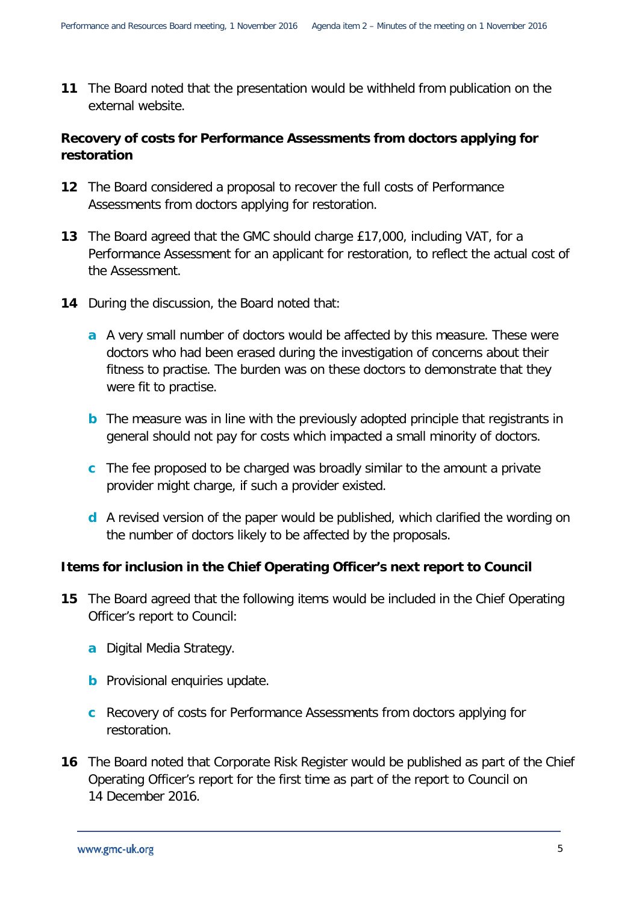**11** The Board noted that the presentation would be withheld from publication on the external website.

# **Recovery of costs for Performance Assessments from doctors applying for restoration**

- **12** The Board considered a proposal to recover the full costs of Performance Assessments from doctors applying for restoration.
- **13** The Board agreed that the GMC should charge £17,000, including VAT, for a Performance Assessment for an applicant for restoration, to reflect the actual cost of the Assessment.
- **14** During the discussion, the Board noted that:
	- **a** A very small number of doctors would be affected by this measure. These were doctors who had been erased during the investigation of concerns about their fitness to practise. The burden was on these doctors to demonstrate that they were fit to practise.
	- **b** The measure was in line with the previously adopted principle that registrants in general should not pay for costs which impacted a small minority of doctors.
	- **c** The fee proposed to be charged was broadly similar to the amount a private provider might charge, if such a provider existed.
	- **d** A revised version of the paper would be published, which clarified the wording on the number of doctors likely to be affected by the proposals.

# **Items for inclusion in the Chief Operating Officer's next report to Council**

- **15** The Board agreed that the following items would be included in the Chief Operating Officer's report to Council:
	- **a** Digital Media Strategy.
	- **b** Provisional enquiries update.
	- **c** Recovery of costs for Performance Assessments from doctors applying for restoration.
- **16** The Board noted that Corporate Risk Register would be published as part of the Chief Operating Officer's report for the first time as part of the report to Council on 14 December 2016.